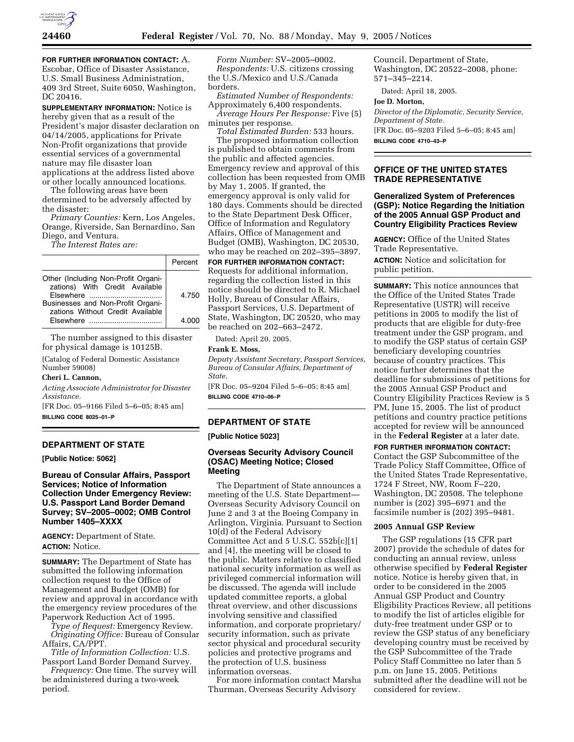

**FOR FURTHER INFORMATION CONTACT:** A. Escobar, Office of Disaster Assistance, U.S. Small Business Administration, 409 3rd Street, Suite 6050, Washington, DC 20416.

**SUPPLEMENTARY INFORMATION:** Notice is hereby given that as a result of the President's major disaster declaration on 04/14/2005, applications for Private Non-Profit organizations that provide essential services of a governmental nature may file disaster loan applications at the address listed above or other locally announced locations.

The following areas have been determined to be adversely affected by the disaster:

*Primary Counties:* Kern, Los Angeles, Orange, Riverside, San Bernardino, San Diego, and Ventura.

*The Interest Rates are:*

|                                                                                                                                                | Percent        |
|------------------------------------------------------------------------------------------------------------------------------------------------|----------------|
| Other (Including Non-Profit Organi-<br>zations) With Credit Available<br>Businesses and Non-Profit Organi-<br>zations Without Credit Available | 4.750<br>4 000 |

The number assigned to this disaster for physical damage is 10125B.

(Catalog of Federal Domestic Assistance Number 59008)

#### **Cheri L. Cannon,**

*Acting Associate Administrator for Disaster Assistance.*

[FR Doc. 05–9166 Filed 5–6–05; 8:45 am] **BILLING CODE 8025–01–P**

### **DEPARTMENT OF STATE**

**[Public Notice: 5062]** 

**Bureau of Consular Affairs, Passport Services; Notice of Information Collection Under Emergency Review: U.S. Passport Land Border Demand Survey; SV–2005–0002; OMB Control Number 1405–XXXX**

**AGENCY:** Department of State. **ACTION:** Notice.

**SUMMARY:** The Department of State has submitted the following information collection request to the Office of Management and Budget (OMB) for review and approval in accordance with the emergency review procedures of the Paperwork Reduction Act of 1995.

*Type of Request:* Emergency Review. *Originating Office:* Bureau of Consular Affairs, CA/PPT.

*Title of Information Collection:* U.S. Passport Land Border Demand Survey.

*Frequency:* One time. The survey will be administered during a two-week period.

*Form Number:* SV–2005–0002. *Respondents:* U.S. citizens crossing the U.S./Mexico and U.S./Canada borders.

*Estimated Number of Respondents:* Approximately 6,400 respondents.

*Average Hours Per Response:* Five (5) minutes per response. *Total Estimated Burden:* 533 hours.

The proposed information collection is published to obtain comments from the public and affected agencies. Emergency review and approval of this collection has been requested from OMB by May 1, 2005. If granted, the emergency approval is only valid for 180 days. Comments should be directed to the State Department Desk Officer, Office of Information and Regulatory Affairs, Office of Management and Budget (OMB), Washington, DC 20530, who may be reached on 202–395–3897.

**FOR FURTHER INFORMATION CONTACT:** Requests for additional information, regarding the collection listed in this notice should be directed to R. Michael Holly, Bureau of Consular Affairs, Passport Services, U.S. Department of State, Washington, DC 20520, who may be reached on 202–663–2472.

Dated: April 20, 2005.

## **Frank E. Moss,**

*Deputy Assistant Secretary, Passport Services, Bureau of Consular Affairs, Department of State.*

[FR Doc. 05–9204 Filed 5–6–05; 8:45 am] **BILLING CODE 4710–06–P**

### **DEPARTMENT OF STATE**

### **[Public Notice 5023]**

# **Overseas Security Advisory Council (OSAC) Meeting Notice; Closed Meeting**

The Department of State announces a meeting of the U.S. State Department— Overseas Security Advisory Council on June 2 and 3 at the Boeing Company in Arlington, Virginia. Pursuant to Section 10(d) of the Federal Advisory Committee Act and 5 U.S.C. 552b[c][1] and [4], the meeting will be closed to the public. Matters relative to classified national security information as well as privileged commercial information will be discussed. The agenda will include updated committee reports, a global threat overview, and other discussions involving sensitive and classified information, and corporate proprietary/ security information, such as private sector physical and procedural security policies and protective programs and the protection of U.S. business information overseas.

For more information contact Marsha Thurman, Overseas Security Advisory

Council, Department of State, Washington, DC 20522–2008, phone: 571–345–2214.

Dated: April 18, 2005.

#### **Joe D. Morton,**

*Director of the Diplomatic, Security Service, Department of State.* [FR Doc. 05–9203 Filed 5–6–05; 8:45 am] **BILLING CODE 4710–43–P**

### **OFFICE OF THE UNITED STATES TRADE REPRESENTATIVE**

### **Generalized System of Preferences (GSP): Notice Regarding the Initiation of the 2005 Annual GSP Product and Country Eligibility Practices Review**

**AGENCY:** Office of the United States Trade Representative.

**ACTION:** Notice and solicitation for public petition.

**SUMMARY:** This notice announces that the Office of the United States Trade Representative (USTR) will receive petitions in 2005 to modify the list of products that are eligible for duty-free treatment under the GSP program, and to modify the GSP status of certain GSP beneficiary developing countries because of country practices. This notice further determines that the deadline for submissions of petitions for the 2005 Annual GSP Product and Country Eligibility Practices Review is 5 PM, June 15, 2005. The list of product petitions and country practice petitions accepted for review will be announced in the **Federal Register** at a later date.

**FOR FURTHER INFORMATION CONTACT:** Contact the GSP Subcommittee of the Trade Policy Staff Committee, Office of the United States Trade Representative, 1724 F Street, NW, Room F–220, Washington, DC 20508. The telephone number is (202) 395–6971 and the facsimile number is (202) 395–9481.

### **2005 Annual GSP Review**

The GSP regulations (15 CFR part 2007) provide the schedule of dates for conducting an annual review, unless otherwise specified by **Federal Register** notice. Notice is hereby given that, in order to be considered in the 2005 Annual GSP Product and Country Eligibility Practices Review, all petitions to modify the list of articles eligible for duty-free treatment under GSP or to review the GSP status of any beneficiary developing country must be received by the GSP Subcommittee of the Trade Policy Staff Committee no later than 5 p.m. on June 15, 2005. Petitions submitted after the deadline will not be considered for review.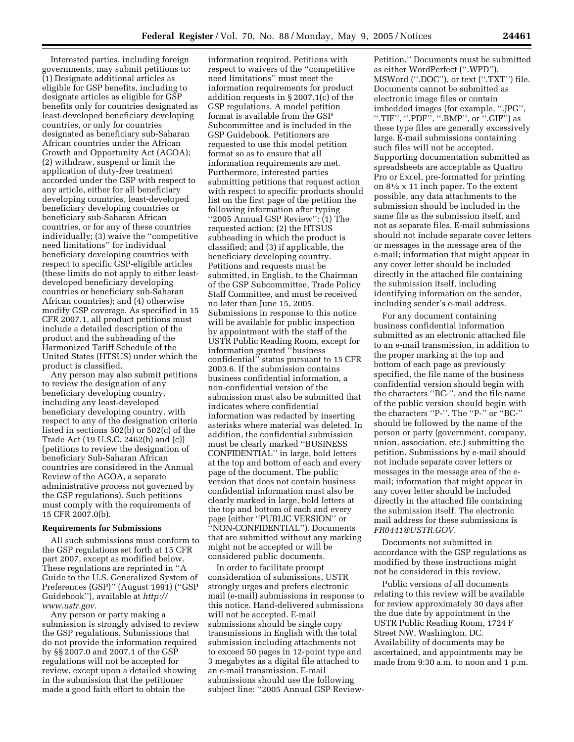Interested parties, including foreign governments, may submit petitions to: (1) Designate additional articles as eligible for GSP benefits, including to designate articles as eligible for GSP benefits only for countries designated as least-developed beneficiary developing countries, or only for countries designated as beneficiary sub-Saharan African countries under the African Growth and Opportunity Act (AGOA); (2) withdraw, suspend or limit the application of duty-free treatment accorded under the GSP with respect to any article, either for all beneficiary developing countries, least-developed beneficiary developing countries or beneficiary sub-Saharan African countries, or for any of these countries individually; (3) waive the ''competitive need limitations'' for individual beneficiary developing countries with respect to specific GSP-eligible articles (these limits do not apply to either leastdeveloped beneficiary developing countries or beneficiary sub-Saharan African countries); and (4) otherwise modify GSP coverage. As specified in 15 CFR 2007.1, all product petitions must include a detailed description of the product and the subheading of the Harmonized Tariff Schedule of the United States (HTSUS) under which the product is classified.

Any person may also submit petitions to review the designation of any beneficiary developing country, including any least-developed beneficiary developing country, with respect to any of the designation criteria listed in sections 502(b) or 502(c) of the Trade Act (19 U.S.C. 2462(b) and (c)) (petitions to review the designation of beneficiary Sub-Saharan African countries are considered in the Annual Review of the AGOA, a separate administrative process not governed by the GSP regulations). Such petitions must comply with the requirements of 15 CFR 2007.0(b).

#### **Requirements for Submissions**

All such submissions must conform to the GSP regulations set forth at 15 CFR part 2007, except as modified below. These regulations are reprinted in ''A Guide to the U.S. Generalized System of Preferences (GSP)'' (August 1991) (''GSP Guidebook''), available at *http:// www.ustr.gov.*

Any person or party making a submission is strongly advised to review the GSP regulations. Submissions that do not provide the information required by §§ 2007.0 and 2007.1 of the GSP regulations will not be accepted for review, except upon a detailed showing in the submission that the petitioner made a good faith effort to obtain the

information required. Petitions with respect to waivers of the ''competitive need limitations'' must meet the information requirements for product addition requests in § 2007.1(c) of the GSP regulations. A model petition format is available from the GSP Subcommittee and is included in the GSP Guidebook. Petitioners are requested to use this model petition format so as to ensure that all information requirements are met. Furthermore, interested parties submitting petitions that request action with respect to specific products should list on the first page of the petition the following information after typing ''2005 Annual GSP Review'': (1) The requested action; (2) the HTSUS subheading in which the product is classified; and (3) if applicable, the beneficiary developing country. Petitions and requests must be submitted, in English, to the Chairman of the GSP Subcommittee, Trade Policy Staff Committee, and must be received no later than June 15, 2005. Submissions in response to this notice will be available for public inspection by appointment with the staff of the USTR Public Reading Room, except for information granted ''business confidential'' status pursuant to 15 CFR 2003.6. If the submission contains business confidential information, a non-confidential version of the submission must also be submitted that indicates where confidential information was redacted by inserting asterisks where material was deleted. In addition, the confidential submission must be clearly marked ''BUSINESS CONFIDENTIAL'' in large, bold letters at the top and bottom of each and every page of the document. The public version that does not contain business confidential information must also be clearly marked in large, bold letters at the top and bottom of each and every page (either ''PUBLIC VERSION'' or ''NON-CONFIDENTIAL''). Documents that are submitted without any marking might not be accepted or will be considered public documents.

In order to facilitate prompt consideration of submissions, USTR strongly urges and prefers electronic mail (e-mail) submissions in response to this notice. Hand-delivered submissions will not be accepted. E-mail submissions should be single copy transmissions in English with the total submission including attachments not to exceed 50 pages in 12-point type and 3 megabytes as a digital file attached to an e-mail transmission. E-mail submissions should use the following subject line: ''2005 Annual GSP ReviewPetition.'' Documents must be submitted as either WordPerfect (''.WPD''), MSWord (''.DOC''), or text (''.TXT'') file. Documents cannot be submitted as electronic image files or contain imbedded images (for example, ''.JPG'', ''.TIF'', ''.PDF'', ''.BMP'', or ''.GIF'') as these type files are generally excessively large. E-mail submissions containing such files will not be accepted. Supporting documentation submitted as spreadsheets are acceptable as Quattro Pro or Excel, pre-formatted for printing on  $8\frac{1}{2}$  x 11 inch paper. To the extent possible, any data attachments to the submission should be included in the same file as the submission itself, and not as separate files. E-mail submissions should not include separate cover letters or messages in the message area of the e-mail; information that might appear in any cover letter should be included directly in the attached file containing the submission itself, including identifying information on the sender, including sender's e-mail address.

For any document containing business confidential information submitted as an electronic attached file to an e-mail transmission, in addition to the proper marking at the top and bottom of each page as previously specified, the file name of the business confidential version should begin with the characters ''BC-'', and the file name of the public version should begin with the characters ''P-''. The ''P-'' or ''BC-'' should be followed by the name of the person or party (government, company, union, association, etc.) submitting the petition. Submissions by e-mail should not include separate cover letters or messages in the message area of the email; information that might appear in any cover letter should be included directly in the attached file containing the submission itself. The electronic mail address for these submissions is *FR0441@USTR.GOV.*

Documents not submitted in accordance with the GSP regulations as modified by these instructions might not be considered in this review.

Public versions of all documents relating to this review will be available for review approximately 30 days after the due date by appointment in the USTR Public Reading Room, 1724 F Street NW, Washington, DC. Availability of documents may be ascertained, and appointments may be made from 9:30 a.m. to noon and 1 p.m.